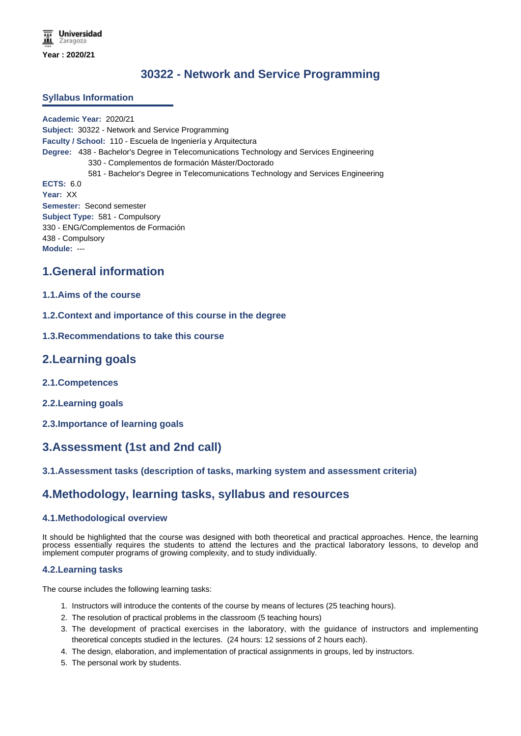# **30322 - Network and Service Programming**

#### **Syllabus Information**

**Academic Year:** 2020/21 **Subject:** 30322 - Network and Service Programming **Faculty / School:** 110 - Escuela de Ingeniería y Arquitectura **Degree:** 438 - Bachelor's Degree in Telecomunications Technology and Services Engineering 330 - Complementos de formación Máster/Doctorado 581 - Bachelor's Degree in Telecomunications Technology and Services Engineering **ECTS:** 6.0 **Year:** XX **Semester:** Second semester **Subject Type:** 581 - Compulsory 330 - ENG/Complementos de Formación 438 - Compulsory **Module:** ---

### **1.General information**

#### **1.1.Aims of the course**

- **1.2.Context and importance of this course in the degree**
- **1.3.Recommendations to take this course**

### **2.Learning goals**

- **2.1.Competences**
- **2.2.Learning goals**
- **2.3.Importance of learning goals**

## **3.Assessment (1st and 2nd call)**

#### **3.1.Assessment tasks (description of tasks, marking system and assessment criteria)**

### **4.Methodology, learning tasks, syllabus and resources**

#### **4.1.Methodological overview**

It should be highlighted that the course was designed with both theoretical and practical approaches. Hence, the learning process essentially requires the students to attend the lectures and the practical laboratory lessons, to develop and implement computer programs of growing complexity, and to study individually.

#### **4.2.Learning tasks**

The course includes the following learning tasks:

- 1. Instructors will introduce the contents of the course by means of lectures (25 teaching hours).
- 2. The resolution of practical problems in the classroom (5 teaching hours)
- 3. The development of practical exercises in the laboratory, with the guidance of instructors and implementing theoretical concepts studied in the lectures. (24 hours: 12 sessions of 2 hours each).
- 4. The design, elaboration, and implementation of practical assignments in groups, led by instructors.
- 5. The personal work by students.